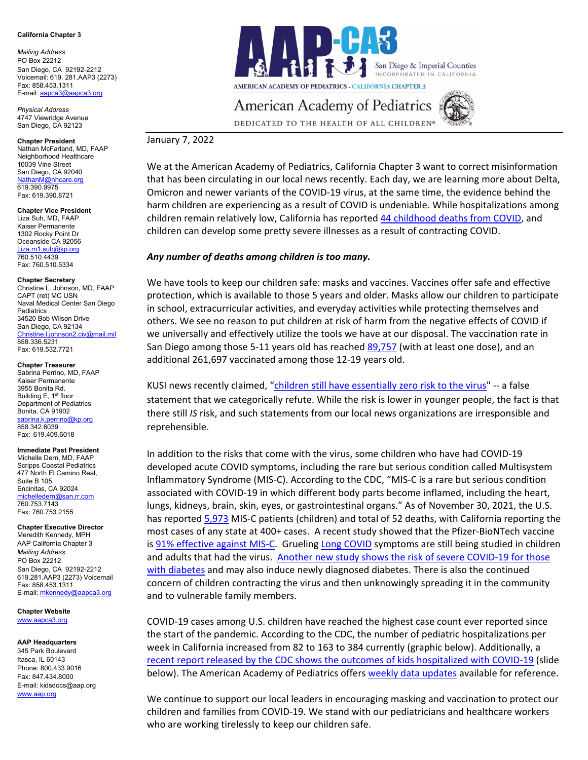#### **California Chapter 3**

*Mailing Address* PO Box 22212 San Diego, CA 92192-2212 Voicemail: 619. 281.AAP3 (2273) Fax: 858.453.1311 E-mail[: aapca3@aapca3.org](mailto:aapca3@aapca3.org)

*Physical Address* 4747 Viewridge Avenue San Diego, CA 92123

**Chapter President** Nathan McFarland, MD, FAAP Neighborhood Healthcare 10039 Vine Street San Diego, CA 92040 [NathanM@nhcare.org](mailto:NathanM@nhcare.org) 619.390.9975 Fax: 619.390.8721

**Chapter Vice President** Liza Suh, MD, FAAP Kaiser Permanente 1302 Rocky Point Dr Oceanside CA 92056 .<br>[Liza.m1.suh@kp.org](mailto:Liza.m1.suh@kp.org) 760.510.4439 Fax: 760.510.5334

#### **Chapter Secretary**

Christine L. Johnson, MD, FAAP CAPT (ret) MC USN Naval Medical Center San Diego **Pediatrics** 34520 Bob Wilson Drive San Diego, CA 92134 [Christine.l.johnson2.civ@mail.mil](mailto:Christine.l.johnson2.civ@mail.mil) 858.336.5231 Fax: 619.532.7721

**Chapter Treasurer**

Sabrina Perrino, MD, FAAP Kaiser Permanente 3955 Bonita Rd. Building E, 1<sup>st</sup> floor Department of Pediatrics Bonita, CA 91902 [sabrina.k.perrino@kp.org](mailto:sabrina.k.perrino@kp.org) 858.342.6039 Fax: 619.409.6018

#### **Immediate Past President**

Michelle Dern, MD, FAAP Scripps Coastal Pediatrics 477 North El Camino Real, Suite B 105 Encinitas, CA 92024 [michelledern@san.rr.com](mailto:michelledern@san.rr.com) 760.753.7143 Fax: 760.753.2155

**Chapter Executive Director**

Meredith Kennedy, MPH AAP California Chapter 3 *Mailing Address* PO Box 22212 San Diego, CA 92192-2212 619.281.AAP3 (2273) Voicemail Fax: 858.453.1311 E-mail[: mkennedy@aapca3.org](mailto:mkennedy@aapca3.org)

**Chapter Website** [www.aapca3.org](http://www.aapca3.org/)

#### **AAP Headquarters**

345 Park Boulevard Itasca, IL 60143 Phone: 800.433.9016 Fax: 847.434.8000 E-mail: kidsdocs@aap.org [www.aap.org](http://www.aap.org/)



**AMERICAN ACADEMY OF PEDIATRICS - CALIFORNIA CHAPTER 3** 

# **American Academy of Pediatrics**



DEDICATED TO THE HEALTH OF ALL CHILDREN®

## January 7, 2022

We at the American Academy of Pediatrics, California Chapter 3 want to correct misinformation that has been circulating in our local news recently. Each day, we are learning more about Delta, Omicron and newer variants of the COVID-19 virus, at the same time, the evidence behind the harm children are experiencing as a result of COVID is undeniable. While hospitalizations among children remain relatively low, California has reported 44 [childhood deaths from COVID,](https://www.cdph.ca.gov/Programs/CID/DCDC/Pages/COVID-19/COVID-19-Cases-by-Age-Group.aspx) and children can develop some pretty severe illnesses as a result of contracting COVID.

### *Any number of deaths among children is too many.*

We have tools to keep our children safe: masks and vaccines. Vaccines offer safe and effective protection, which is available to those 5 years and older. Masks allow our children to participate in school, extracurricular activities, and everyday activities while protecting themselves and others. We see no reason to put children at risk of harm from the negative effects of COVID if we universally and effectively utilize the tools we have at our disposal. The vaccination rate in San Diego among those 5-11 years old has reache[d 89,757](https://www.sandiegocounty.gov/content/dam/sdc/hhsa/programs/phs/Epidemiology/COVID-19%20Vaccinations%20Demographics.pdf) (with at least one dose), and an additional 261,697 vaccinated among those 12-19 years old.

KUSI news recently claimed, ["children still have essentially zero risk to the virus"](https://www.kusi.com/sdusd-trustee-richard-barrera-believes-mandating-booster-shots-is-only-way-to-keep-students-safe/) -- a false statement that we categorically refute. While the risk is lower in younger people, the fact is that there still *IS* risk, and such statements from our local news organizations are irresponsible and reprehensible.

In addition to the risks that come with the virus, some children who have had COVID-19 developed acute COVID symptoms, including the rare but serious condition called Multisystem Inflammatory Syndrome (MIS-C). According to the CDC, "MIS-C is a rare but serious condition associated with COVID-19 in which different body parts become inflamed, including the heart, lungs, kidneys, brain, skin, eyes, or gastrointestinal organs." As of November 30, 2021, the U.S. has reported [5,973](https://covid.cdc.gov/covid-data-tracker/#mis-national-surveillance) MIS-C patients (children) and total of 52 deaths, with California reporting the most cases of any state at 400+ cases. A recent study showed that the Pfizer-BioNTech vaccine is [91% effective against MIS-C.](https://www.cdc.gov/mmwr/volumes/71/wr/mm7102e1.htm?s_cid=mm7102e1_e&ACSTrackingID=USCDC_921-DM73030&ACSTrackingLabel=MMWR%20Early%20Release%20-%20Vol.%2071%2C%20January%207%2C%202022&deliveryName=USCDC_921-DM73030) Grueling [Long COVID](https://www.cdc.gov/coronavirus/2019-ncov/long-term-effects/index.html) symptoms are still being studied in children and adults that had the virus. Another new study shows the risk of severe COVID-19 for those [with diabetes](https://www.cdc.gov/mmwr/volumes/71/wr/mm7102e2.htm?s_cid=mm7102e2_e&ACSTrackingID=USCDC_921-DM73030&ACSTrackingLabel=MMWR%20Early%20Release%20-%20Vol.%2071%2C%20January%207%2C%202022&deliveryName=USCDC_921-DM73030) and may also induce newly diagnosed diabetes. There is also the continued concern of children contracting the virus and then unknowingly spreading it in the community and to vulnerable family members.

COVID-19 cases among U.S. children have reached the highest case count ever reported since the start of the pandemic. According to the CDC, the number of pediatric hospitalizations per week in California increased from 82 to 163 to 384 currently (graphic below). Additionally, a [recent report released by the CDC shows the outcomes of kids hospitalized with COVID-19](https://www.cdc.gov/mmwr/volumes/70/wr/mm705152a3.htm) (slide below). The American Academy of Pediatrics offer[s weekly data updates](https://www.aap.org/en/pages/2019-novel-coronavirus-covid-19-infections/children-and-covid-19-state-level-data-report/) available for reference.

We continue to support our local leaders in encouraging masking and vaccination to protect our children and families from COVID-19. We stand with our pediatricians and healthcare workers who are working tirelessly to keep our children safe.